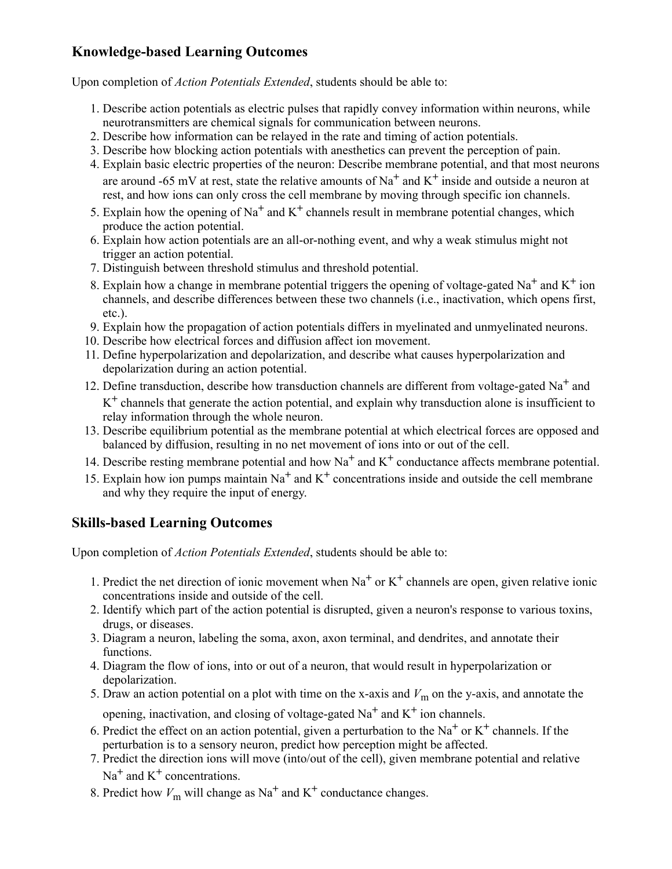## **Knowledge-based Learning Outcomes**

Upon completion of *Action Potentials Extended*, students should be able to:

- 1. Describe action potentials as electric pulses that rapidly convey information within neurons, while neurotransmitters are chemical signals for communication between neurons.
- 2. Describe how information can be relayed in the rate and timing of action potentials.
- 3. Describe how blocking action potentials with anesthetics can prevent the perception of pain.
- 4. Explain basic electric properties of the neuron: Describe membrane potential, and that most neurons are around -65 mV at rest, state the relative amounts of Na**+** and K**+** inside and outside a neuron at rest, and how ions can only cross the cell membrane by moving through specific ion channels.
- 5. Explain how the opening of Na**+** and K**+** channels result in membrane potential changes, which produce the action potential.
- 6. Explain how action potentials are an all-or-nothing event, and why a weak stimulus might not trigger an action potential.
- 7. Distinguish between threshold stimulus and threshold potential.
- 8. Explain how a change in membrane potential triggers the opening of voltage-gated Na**+** and K**+** ion channels, and describe differences between these two channels (i.e., inactivation, which opens first, etc.).
- 9. Explain how the propagation of action potentials differs in myelinated and unmyelinated neurons.
- 10. Describe how electrical forces and diffusion affect ion movement.
- 11. Define hyperpolarization and depolarization, and describe what causes hyperpolarization and depolarization during an action potential.
- 12. Define transduction, describe how transduction channels are different from voltage-gated Na**+** and K**+** channels that generate the action potential, and explain why transduction alone is insufficient to relay information through the whole neuron.
- 13. Describe equilibrium potential as the membrane potential at which electrical forces are opposed and balanced by diffusion, resulting in no net movement of ions into or out of the cell.
- 14. Describe resting membrane potential and how Na**+** and K**+** conductance affects membrane potential.
- 15. Explain how ion pumps maintain Na**+** and K**+** concentrations inside and outside the cell membrane and why they require the input of energy.

## **Skills-based Learning Outcomes**

Upon completion of *Action Potentials Extended*, students should be able to:

- 1. Predict the net direction of ionic movement when Na**+** or K**+** channels are open, given relative ionic concentrations inside and outside of the cell.
- 2. Identify which part of the action potential is disrupted, given a neuron's response to various toxins, drugs, or diseases.
- 3. Diagram a neuron, labeling the soma, axon, axon terminal, and dendrites, and annotate their functions.
- 4. Diagram the flow of ions, into or out of a neuron, that would result in hyperpolarization or depolarization.
- 5. Draw an action potential on a plot with time on the x-axis and  $V<sub>m</sub>$  on the y-axis, and annotate the opening, inactivation, and closing of voltage-gated Na**+** and K**+** ion channels.
- 6. Predict the effect on an action potential, given a perturbation to the  $Na<sup>+</sup>$  or  $K<sup>+</sup>$  channels. If the perturbation is to a sensory neuron, predict how perception might be affected.
- 7. Predict the direction ions will move (into/out of the cell), given membrane potential and relative Na<sup>+</sup> and K<sup>+</sup> concentrations.
- 8. Predict how  $V_{\text{m}}$  will change as Na<sup>+</sup> and K<sup>+</sup> conductance changes.